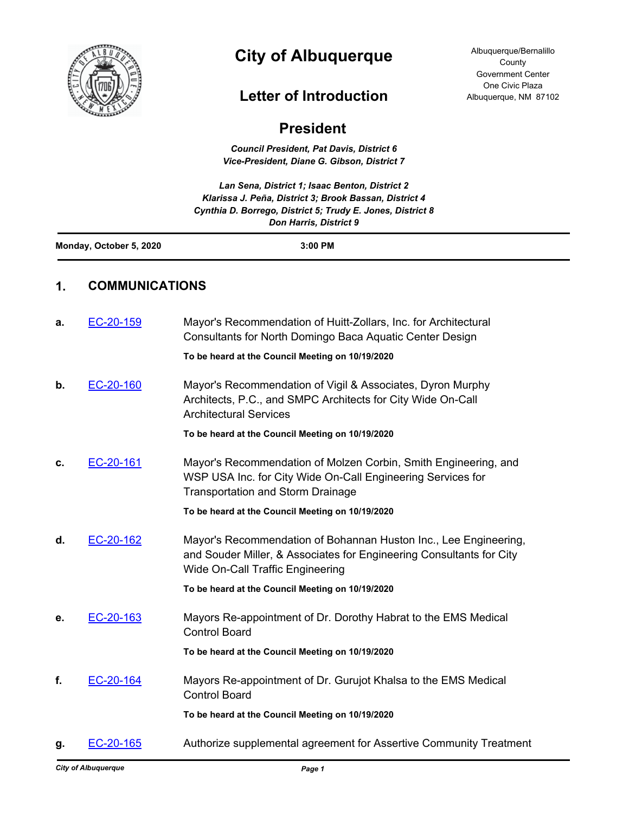

# **City of Albuquerque**

## **Letter of Introduction**

Albuquerque/Bernalillo **County** Government Center One Civic Plaza Albuquerque, NM 87102

## **President**

*Council President, Pat Davis, District 6 Vice-President, Diane G. Gibson, District 7*

*Lan Sena, District 1; Isaac Benton, District 2 Klarissa J. Peña, District 3; Brook Bassan, District 4 Cynthia D. Borrego, District 5; Trudy E. Jones, District 8 Don Harris, District 9* **Monday, October 5, 2020 3:00 PM 1. COMMUNICATIONS a.** [EC-20-159](http://cabq.legistar.com/gateway.aspx?m=l&id=/matter.aspx?key=12159) Mayor's Recommendation of Huitt-Zollars, Inc. for Architectural Consultants for North Domingo Baca Aquatic Center Design **To be heard at the Council Meeting on 10/19/2020 b.** [EC-20-160](http://cabq.legistar.com/gateway.aspx?m=l&id=/matter.aspx?key=12160) Mayor's Recommendation of Vigil & Associates, Dyron Murphy Architects, P.C., and SMPC Architects for City Wide On-Call Architectural Services **To be heard at the Council Meeting on 10/19/2020 c.** [EC-20-161](http://cabq.legistar.com/gateway.aspx?m=l&id=/matter.aspx?key=12161) Mayor's Recommendation of Molzen Corbin, Smith Engineering, and WSP USA Inc. for City Wide On-Call Engineering Services for Transportation and Storm Drainage **To be heard at the Council Meeting on 10/19/2020 d.** [EC-20-162](http://cabq.legistar.com/gateway.aspx?m=l&id=/matter.aspx?key=12162) Mayor's Recommendation of Bohannan Huston Inc., Lee Engineering, and Souder Miller, & Associates for Engineering Consultants for City Wide On-Call Traffic Engineering **To be heard at the Council Meeting on 10/19/2020 e.** [EC-20-163](http://cabq.legistar.com/gateway.aspx?m=l&id=/matter.aspx?key=12163) Mayors Re-appointment of Dr. Dorothy Habrat to the EMS Medical Control Board **To be heard at the Council Meeting on 10/19/2020 f.** [EC-20-164](http://cabq.legistar.com/gateway.aspx?m=l&id=/matter.aspx?key=12164) Mayors Re-appointment of Dr. Gurujot Khalsa to the EMS Medical Control Board **To be heard at the Council Meeting on 10/19/2020 g.** [EC-20-165](http://cabq.legistar.com/gateway.aspx?m=l&id=/matter.aspx?key=12165) Authorize supplemental agreement for Assertive Community Treatment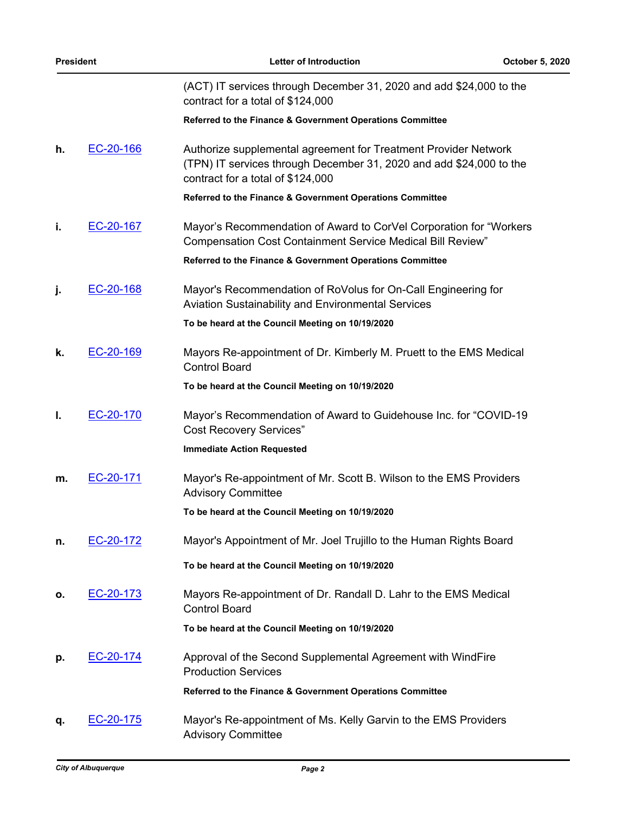| <b>President</b> |           | <b>Letter of Introduction</b>                                                                                                                                               | October 5, 2020 |
|------------------|-----------|-----------------------------------------------------------------------------------------------------------------------------------------------------------------------------|-----------------|
|                  |           | (ACT) IT services through December 31, 2020 and add \$24,000 to the<br>contract for a total of \$124,000                                                                    |                 |
|                  |           | Referred to the Finance & Government Operations Committee                                                                                                                   |                 |
| h.               | EC-20-166 | Authorize supplemental agreement for Treatment Provider Network<br>(TPN) IT services through December 31, 2020 and add \$24,000 to the<br>contract for a total of \$124,000 |                 |
|                  |           | Referred to the Finance & Government Operations Committee                                                                                                                   |                 |
| j.               | EC-20-167 | Mayor's Recommendation of Award to CorVel Corporation for "Workers"<br><b>Compensation Cost Containment Service Medical Bill Review"</b>                                    |                 |
|                  |           | Referred to the Finance & Government Operations Committee                                                                                                                   |                 |
| j.               | EC-20-168 | Mayor's Recommendation of RoVolus for On-Call Engineering for<br><b>Aviation Sustainability and Environmental Services</b>                                                  |                 |
|                  |           | To be heard at the Council Meeting on 10/19/2020                                                                                                                            |                 |
| k.               | EC-20-169 | Mayors Re-appointment of Dr. Kimberly M. Pruett to the EMS Medical<br><b>Control Board</b>                                                                                  |                 |
|                  |           | To be heard at the Council Meeting on 10/19/2020                                                                                                                            |                 |
| Ι.               | EC-20-170 | Mayor's Recommendation of Award to Guidehouse Inc. for "COVID-19<br><b>Cost Recovery Services"</b>                                                                          |                 |
|                  |           | <b>Immediate Action Requested</b>                                                                                                                                           |                 |
| m.               | EC-20-171 | Mayor's Re-appointment of Mr. Scott B. Wilson to the EMS Providers<br><b>Advisory Committee</b>                                                                             |                 |
|                  |           | To be heard at the Council Meeting on 10/19/2020                                                                                                                            |                 |
| n.               | EC-20-172 | Mayor's Appointment of Mr. Joel Trujillo to the Human Rights Board                                                                                                          |                 |
|                  |           | To be heard at the Council Meeting on 10/19/2020                                                                                                                            |                 |
| ο.               | EC-20-173 | Mayors Re-appointment of Dr. Randall D. Lahr to the EMS Medical<br><b>Control Board</b>                                                                                     |                 |
|                  |           | To be heard at the Council Meeting on 10/19/2020                                                                                                                            |                 |
| р.               | EC-20-174 | Approval of the Second Supplemental Agreement with WindFire<br><b>Production Services</b>                                                                                   |                 |
|                  |           | Referred to the Finance & Government Operations Committee                                                                                                                   |                 |
| q.               | EC-20-175 | Mayor's Re-appointment of Ms. Kelly Garvin to the EMS Providers<br><b>Advisory Committee</b>                                                                                |                 |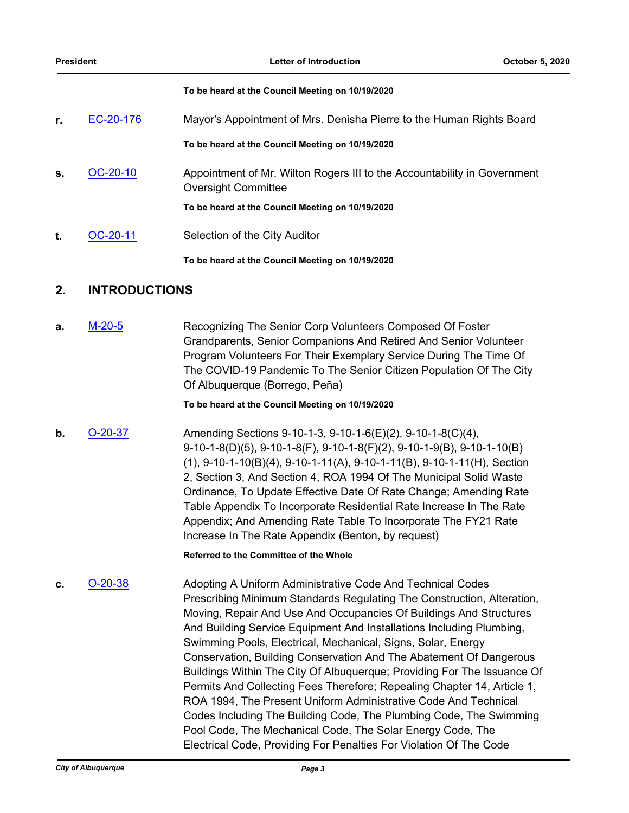#### **To be heard at the Council Meeting on 10/19/2020**

| r. | EC-20-176  | Mayor's Appointment of Mrs. Denisha Pierre to the Human Rights Board                                   |  |
|----|------------|--------------------------------------------------------------------------------------------------------|--|
|    |            | To be heard at the Council Meeting on 10/19/2020                                                       |  |
| S. | $OC-20-10$ | Appointment of Mr. Wilton Rogers III to the Accountability in Government<br><b>Oversight Committee</b> |  |
|    |            | To be heard at the Council Meeting on 10/19/2020                                                       |  |
| t. | OC-20-11   | Selection of the City Auditor                                                                          |  |

**To be heard at the Council Meeting on 10/19/2020**

### **2. INTRODUCTIONS**

**a.** [M-20-5](http://cabq.legistar.com/gateway.aspx?m=l&id=/matter.aspx?key=12185) Recognizing The Senior Corp Volunteers Composed Of Foster Grandparents, Senior Companions And Retired And Senior Volunteer Program Volunteers For Their Exemplary Service During The Time Of The COVID-19 Pandemic To The Senior Citizen Population Of The City Of Albuquerque (Borrego, Peña)

**To be heard at the Council Meeting on 10/19/2020**

**b. [O-20-37](http://cabq.legistar.com/gateway.aspx?m=l&id=/matter.aspx?key=12172) Amending Sections 9-10-1-3, 9-10-1-6(E)(2), 9-10-1-8(C)(4),** 9-10-1-8(D)(5), 9-10-1-8(F), 9-10-1-8(F)(2), 9-10-1-9(B), 9-10-1-10(B) (1), 9-10-1-10(B)(4), 9-10-1-11(A), 9-10-1-11(B), 9-10-1-11(H), Section 2, Section 3, And Section 4, ROA 1994 Of The Municipal Solid Waste Ordinance, To Update Effective Date Of Rate Change; Amending Rate Table Appendix To Incorporate Residential Rate Increase In The Rate Appendix; And Amending Rate Table To Incorporate The FY21 Rate Increase In The Rate Appendix (Benton, by request)

**Referred to the Committee of the Whole**

**c.** [O-20-38](http://cabq.legistar.com/gateway.aspx?m=l&id=/matter.aspx?key=12180) Adopting A Uniform Administrative Code And Technical Codes Prescribing Minimum Standards Regulating The Construction, Alteration, Moving, Repair And Use And Occupancies Of Buildings And Structures And Building Service Equipment And Installations Including Plumbing, Swimming Pools, Electrical, Mechanical, Signs, Solar, Energy Conservation, Building Conservation And The Abatement Of Dangerous Buildings Within The City Of Albuquerque; Providing For The Issuance Of Permits And Collecting Fees Therefore; Repealing Chapter 14, Article 1, ROA 1994, The Present Uniform Administrative Code And Technical Codes Including The Building Code, The Plumbing Code, The Swimming Pool Code, The Mechanical Code, The Solar Energy Code, The Electrical Code, Providing For Penalties For Violation Of The Code